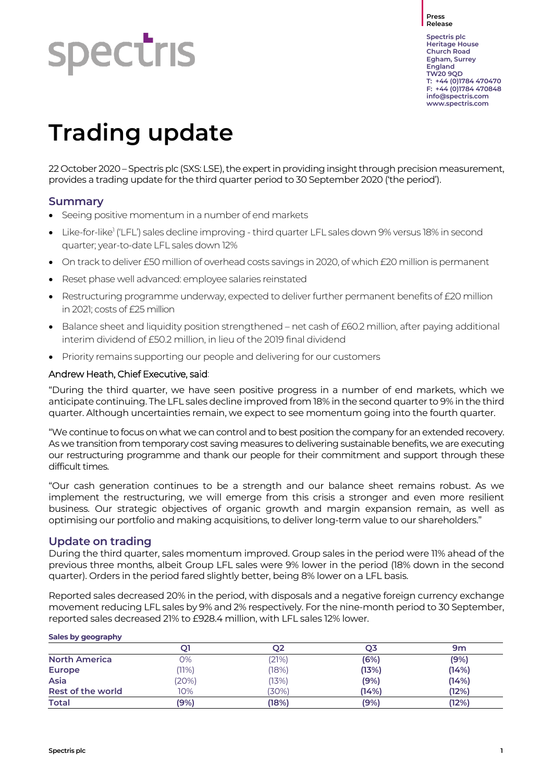#### **Press Release**

**spectris** 

**Spectris plc Heritage House Church Road Egham, Surrey England TW20 9QD T: +44 (0)1784 470470 F: +44 (0)1784 470848 [info@spectris.com](mailto:info@spectris.com) www.spectris.com**

# **Trading update**

22 October 2020 – Spectris plc (SXS: LSE), the expert in providing insight through precision measurement, provides a trading update for the third quarter period to 30 September 2020 ('the period').

### **Summary**

- Seeing positive momentum in a number of end markets
- Like-for-like<sup>1</sup> ('LFL') sales decline improving third quarter LFL sales down 9% versus 18% in second quarter; year-to-date LFL sales down 12%
- On track to deliver £50 million of overhead costs savings in 2020, of which £20 million is permanent
- Reset phase well advanced: employee salaries reinstated
- Restructuring programme underway, expected to deliver further permanent benefits of £20 million in 2021; costs of £25 million
- Balance sheet and liquidity position strengthened net cash of £60.2 million, after paying additional interim dividend of £50.2 million, in lieu of the 2019 final dividend
- Priority remains supporting our people and delivering for our customers

#### Andrew Heath, Chief Executive, said:

"During the third quarter, we have seen positive progress in a number of end markets, which we anticipate continuing. The LFL sales decline improved from 18% in the second quarter to 9% in the third quarter. Although uncertainties remain, we expect to see momentum going into the fourth quarter.

"We continue to focus on what we can control and to best position the company for an extended recovery. As we transition from temporary cost saving measures to delivering sustainable benefits, we are executing our restructuring programme and thank our people for their commitment and support through these difficult times.

"Our cash generation continues to be a strength and our balance sheet remains robust. As we implement the restructuring, we will emerge from this crisis a stronger and even more resilient business. Our strategic objectives of organic growth and margin expansion remain, as well as optimising our portfolio and making acquisitions, to deliver long-term value to our shareholders."

#### **Update on trading**

During the third quarter, sales momentum improved. Group sales in the period were 11% ahead of the previous three months, albeit Group LFL sales were 9% lower in the period (18% down in the second quarter). Orders in the period fared slightly better, being 8% lower on a LFL basis.

Reported sales decreased 20% in the period, with disposals and a negative foreign currency exchange movement reducing LFL sales by 9% and 2% respectively. For the nine-month period to 30 September, reported sales decreased 21% to £928.4 million, with LFL sales 12% lower.

| Sales by geography   |       |         |       |       |  |  |  |  |
|----------------------|-------|---------|-------|-------|--|--|--|--|
|                      | Q1    | Q2      | Q3    | 9m    |  |  |  |  |
| <b>North America</b> | 0%    | (21%)   | (6%)  | (9%)  |  |  |  |  |
| <b>Europe</b>        | (11%) | $18\%)$ | (13%) | (14%) |  |  |  |  |
| Asia                 | (20%) | (13%)   | (9%)  | (14%) |  |  |  |  |
| Rest of the world    | 10%   | (30%)   | (14%) | (12%) |  |  |  |  |
| <b>Total</b>         | (9%)  | (18%    | (9%)  | (12%) |  |  |  |  |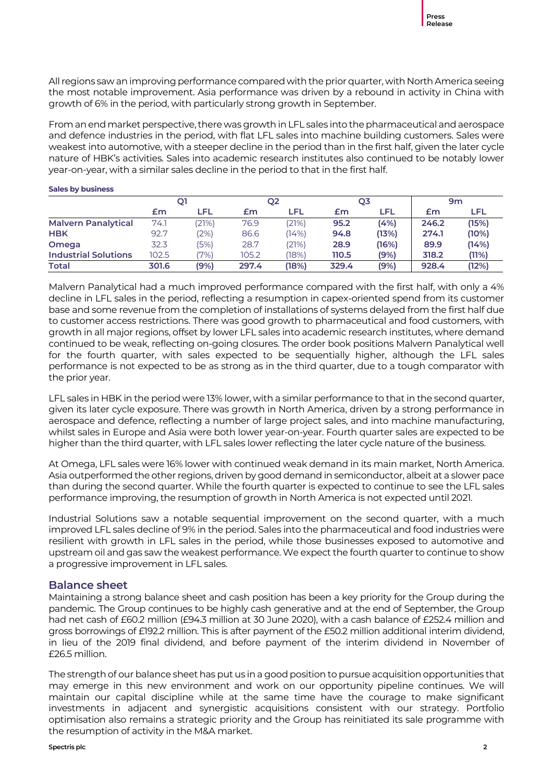All regions saw an improving performance compared with the prior quarter, with North America seeing the most notable improvement. Asia performance was driven by a rebound in activity in China with growth of 6% in the period, with particularly strong growth in September.

From an end market perspective, there was growth in LFL sales into the pharmaceutical and aerospace and defence industries in the period, with flat LFL sales into machine building customers. Sales were weakest into automotive, with a steeper decline in the period than in the first half, given the later cycle nature of HBK's activities. Sales into academic research institutes also continued to be notably lower year-on-year, with a similar sales decline in the period to that in the first half.

|                             | Q1    |        | Q <sub>2</sub> |       | Q3    |       | 9m    |       |
|-----------------------------|-------|--------|----------------|-------|-------|-------|-------|-------|
|                             | £m    | LFL    | £m             | LFL   | £m    | LFL   | £m    | LFL   |
| <b>Malvern Panalytical</b>  | 74.1  | (21%)  | 76.9           | (21%) | 95.2  | (4%)  | 246.2 | (15%) |
| <b>HBK</b>                  | 92.7  | $2\%)$ | 86.6           | (14%) | 94.8  | (13%) | 274.1 | (10%) |
| Omega                       | 32.3  | (5%)   | 28.7           | (21%) | 28.9  | (16%) | 89.9  | (14%) |
| <b>Industrial Solutions</b> | 102.5 | '7%)   | 105.2          | (18%) | 110.5 | (9%)  | 318.2 | (11%) |
| <b>Total</b>                | 301.6 | (9%)   | 297.4          | (18%) | 329.4 | (9%)  | 928.4 | (12%) |

#### **Sales by business**

Malvern Panalytical had a much improved performance compared with the first half, with only a 4% decline in LFL sales in the period, reflecting a resumption in capex-oriented spend from its customer base and some revenue from the completion of installations of systems delayed from the first half due to customer access restrictions. There was good growth to pharmaceutical and food customers, with growth in all major regions, offset by lower LFL sales into academic research institutes, where demand continued to be weak, reflecting on-going closures. The order book positions Malvern Panalytical well for the fourth quarter, with sales expected to be sequentially higher, although the LFL sales performance is not expected to be as strong as in the third quarter, due to a tough comparator with the prior year.

LFL sales in HBK in the period were 13% lower, with a similar performance to that in the second quarter, given its later cycle exposure. There was growth in North America, driven by a strong performance in aerospace and defence, reflecting a number of large project sales, and into machine manufacturing, whilst sales in Europe and Asia were both lower year-on-year. Fourth quarter sales are expected to be higher than the third quarter, with LFL sales lower reflecting the later cycle nature of the business.

At Omega, LFL sales were 16% lower with continued weak demand in its main market, North America. Asia outperformed the other regions, driven by good demand in semiconductor, albeit at a slower pace than during the second quarter. While the fourth quarter is expected to continue to see the LFL sales performance improving, the resumption of growth in North America is not expected until 2021.

Industrial Solutions saw a notable sequential improvement on the second quarter, with a much improved LFL sales decline of 9% in the period. Sales into the pharmaceutical and food industries were resilient with growth in LFL sales in the period, while those businesses exposed to automotive and upstream oil and gas saw the weakest performance. We expect the fourth quarter to continue to show a progressive improvement in LFL sales.

#### **Balance sheet**

Maintaining a strong balance sheet and cash position has been a key priority for the Group during the pandemic. The Group continues to be highly cash generative and at the end of September, the Group had net cash of £60.2 million (£94.3 million at 30 June 2020), with a cash balance of £252.4 million and gross borrowings of £192.2 million. This is after payment of the £50.2 million additional interim dividend, in lieu of the 2019 final dividend, and before payment of the interim dividend in November of £26.5 million.

The strength of our balance sheet has put us in a good position to pursue acquisition opportunities that may emerge in this new environment and work on our opportunity pipeline continues. We will maintain our capital discipline while at the same time have the courage to make significant investments in adjacent and synergistic acquisitions consistent with our strategy. Portfolio optimisation also remains a strategic priority and the Group has reinitiated its sale programme with the resumption of activity in the M&A market.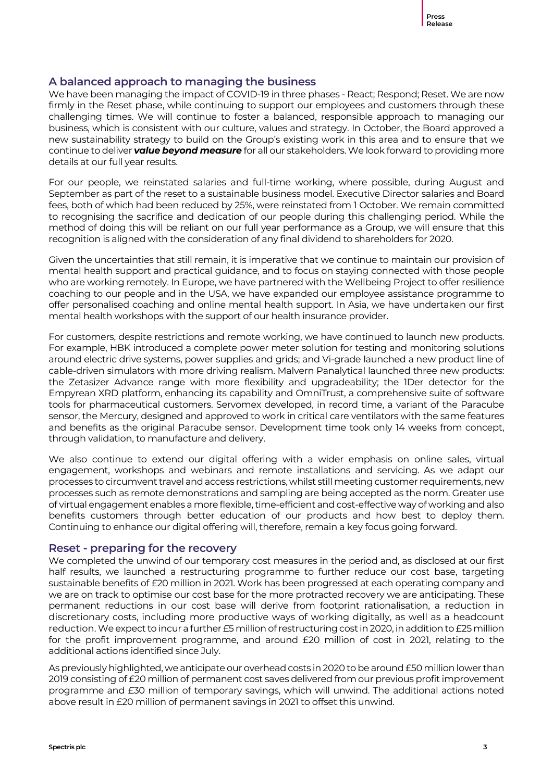#### **A balanced approach to managing the business**

We have been managing the impact of COVID-19 in three phases - React; Respond; Reset. We are now firmly in the Reset phase, while continuing to support our employees and customers through these challenging times. We will continue to foster a balanced, responsible approach to managing our business, which is consistent with our culture, values and strategy. In October, the Board approved a new sustainability strategy to build on the Group's existing work in this area and to ensure that we continue to deliver *value beyond measure* for all our stakeholders.We look forward to providing more details at our full year results.

For our people, we reinstated salaries and full-time working, where possible, during August and September as part of the reset to a sustainable business model. Executive Director salaries and Board fees, both of which had been reduced by 25%, were reinstated from 1 October. We remain committed to recognising the sacrifice and dedication of our people during this challenging period. While the method of doing this will be reliant on our full year performance as a Group, we will ensure that this recognition is aligned with the consideration of any final dividend to shareholders for 2020.

Given the uncertainties that still remain, it is imperative that we continue to maintain our provision of mental health support and practical guidance, and to focus on staying connected with those people who are working remotely. In Europe, we have partnered with the Wellbeing Project to offer resilience coaching to our people and in the USA, we have expanded our employee assistance programme to offer personalised coaching and online mental health support. In Asia, we have undertaken our first mental health workshops with the support of our health insurance provider.

For customers, despite restrictions and remote working, we have continued to launch new products. For example, HBK introduced a complete power meter solution for testing and monitoring solutions around electric drive systems, power supplies and grids; and Vi-grade launched a new product line of cable-driven simulators with more driving realism. Malvern Panalytical launched three new products: the Zetasizer Advance range with more flexibility and upgradeability; the 1Der detector for the Empyrean XRD platform, enhancing its capability and OmniTrust, a comprehensive suite of software tools for pharmaceutical customers. Servomex developed, in record time, a variant of the Paracube sensor, the Mercury, designed and approved to work in critical care ventilators with the same features and benefits as the original Paracube sensor. Development time took only 14 weeks from concept, through validation, to manufacture and delivery.

We also continue to extend our digital offering with a wider emphasis on online sales, virtual engagement, workshops and webinars and remote installations and servicing. As we adapt our processes to circumvent travel and access restrictions, whilst still meeting customer requirements, new processes such as remote demonstrations and sampling are being accepted as the norm. Greater use of virtual engagement enables a more flexible, time-efficient and cost-effective way of working and also benefits customers through better education of our products and how best to deploy them. Continuing to enhance our digital offering will, therefore, remain a key focus going forward.

#### **Reset - preparing for the recovery**

We completed the unwind of our temporary cost measures in the period and, as disclosed at our first half results, we launched a restructuring programme to further reduce our cost base, targeting sustainable benefits of £20 million in 2021. Work has been progressed at each operating company and we are on track to optimise our cost base for the more protracted recovery we are anticipating. These permanent reductions in our cost base will derive from footprint rationalisation, a reduction in discretionary costs, including more productive ways of working digitally, as well as a headcount reduction. We expect to incur a further £5 million of restructuring cost in 2020, in addition to £25 million for the profit improvement programme, and around £20 million of cost in 2021, relating to the additional actions identified since July.

As previously highlighted, we anticipate our overhead costs in 2020 to be around £50 million lower than 2019 consisting of £20 million of permanent cost saves delivered from our previous profit improvement programme and £30 million of temporary savings, which will unwind. The additional actions noted above result in £20 million of permanent savings in 2021 to offset this unwind.